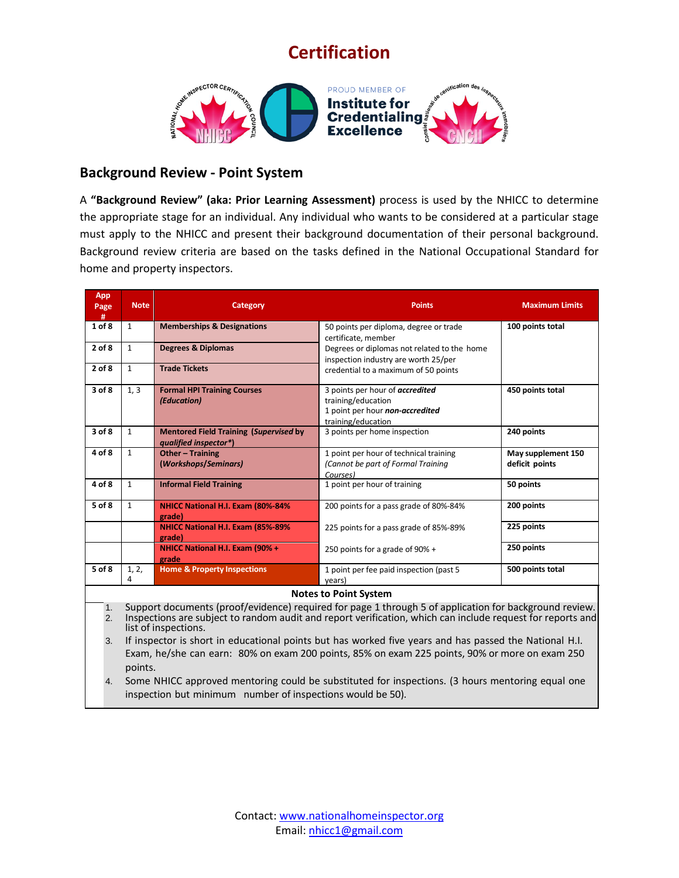## **Certification**



## **Background Review - Point System**

A **"Background Review" (aka: Prior Learning Assessment)** process is used by the NHICC to determine the appropriate stage for an individual. Any individual who wants to be considered at a particular stage must apply to the NHICC and present their background documentation of their personal background. Background review criteria are based on the tasks defined in the National Occupational Standard for home and property inspectors.

| <b>App</b><br>Page<br>#                                                                                                                                                                                                        | <b>Note</b>                  | Category                                                               | <b>Points</b>                                                                                                  | <b>Maximum Limits</b>                |  |
|--------------------------------------------------------------------------------------------------------------------------------------------------------------------------------------------------------------------------------|------------------------------|------------------------------------------------------------------------|----------------------------------------------------------------------------------------------------------------|--------------------------------------|--|
| 1 of 8                                                                                                                                                                                                                         | $\mathbf{1}$                 | <b>Memberships &amp; Designations</b>                                  | 50 points per diploma, degree or trade<br>certificate, member                                                  | 100 points total                     |  |
| $2$ of $8$                                                                                                                                                                                                                     | $\mathbf{1}$                 | <b>Degrees &amp; Diplomas</b>                                          | Degrees or diplomas not related to the home<br>inspection industry are worth 25/per                            |                                      |  |
| $2$ of $8$                                                                                                                                                                                                                     | $\mathbf{1}$                 | <b>Trade Tickets</b>                                                   | credential to a maximum of 50 points                                                                           |                                      |  |
| 3 of 8                                                                                                                                                                                                                         | 1, 3                         | <b>Formal HPI Training Courses</b><br>(Education)                      | 3 points per hour of accredited<br>training/education<br>1 point per hour non-accredited<br>training/education | 450 points total                     |  |
| 3 of 8                                                                                                                                                                                                                         | $\mathbf{1}$                 | <b>Mentored Field Training (Supervised by</b><br>qualified inspector*) | 3 points per home inspection                                                                                   | 240 points                           |  |
| 4 of 8                                                                                                                                                                                                                         | $\mathbf{1}$                 | <b>Other - Training</b><br>(Workshops/Seminars)                        | 1 point per hour of technical training<br>(Cannot be part of Formal Training<br>Courses)                       | May supplement 150<br>deficit points |  |
| 4 of 8                                                                                                                                                                                                                         | $\mathbf{1}$                 | <b>Informal Field Training</b>                                         | 1 point per hour of training                                                                                   | 50 points                            |  |
| $5$ of $8$                                                                                                                                                                                                                     | $\mathbf{1}$                 | NHICC National H.I. Exam (80%-84%<br>grade)                            | 200 points for a pass grade of 80%-84%                                                                         | 200 points                           |  |
|                                                                                                                                                                                                                                |                              | NHICC National H.I. Exam (85%-89%<br>grade)                            | 225 points for a pass grade of 85%-89%                                                                         | 225 points                           |  |
|                                                                                                                                                                                                                                |                              | NHICC National H.I. Exam (90% +<br>grade                               | 250 points for a grade of 90% +                                                                                | 250 points                           |  |
| 5 of 8                                                                                                                                                                                                                         | 1, 2,<br>4                   | <b>Home &amp; Property Inspections</b>                                 | 1 point per fee paid inspection (past 5<br>years)                                                              | 500 points total                     |  |
|                                                                                                                                                                                                                                | <b>Notes to Point System</b> |                                                                        |                                                                                                                |                                      |  |
| Support documents (proof/evidence) required for page 1 through 5 of application for background review.<br>1.<br>Incorportions are subject to readers qualit and report verification, which can include request for reports and |                              |                                                                        |                                                                                                                |                                      |  |

2. Inspections are subject to random audit and report verification, which can include request for reports and list of inspections.

3. If inspector is short in educational points but has worked five years and has passed the National H.I. Exam, he/she can earn: 80% on exam 200 points, 85% on exam 225 points, 90% or more on exam 250 points.

4. Some NHICC approved mentoring could be substituted for inspections. (3 hours mentoring equal one inspection but minimum number of inspections would be 50).